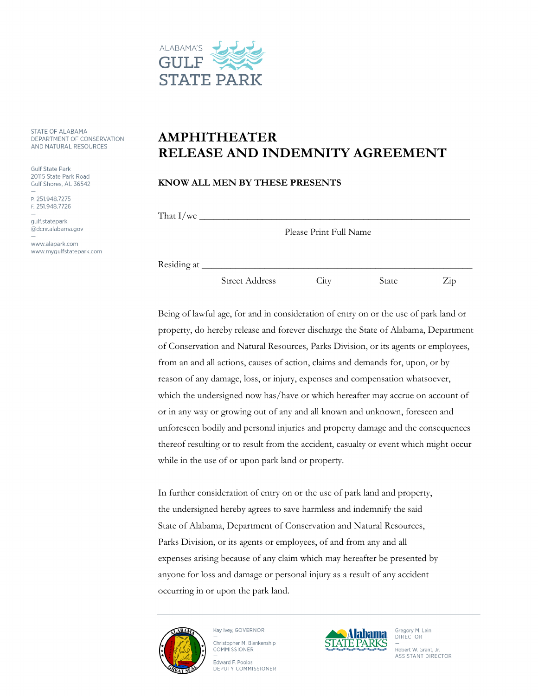

STATE OF ALABAMA DEPARTMENT OF CONSERVATION AND NATURAL RESOURCES

**Gulf State Park** 20115 State Park Road Gulf Shores, AL 36542

P. 251.948.7275 F. 251.948.7726

qulf.statepark @dcnr.alabama.gov

www.alapark.com www.mygulfstatepark.com

## **AMPHITHEATER RELEASE AND INDEMNITY AGREEMENT**

## **KNOW ALL MEN BY THESE PRESENTS**

That I/we  $\equiv$ 

Please Print Full Name

Residing at \_\_\_\_\_\_\_\_\_\_\_\_\_\_\_\_\_\_\_\_\_\_\_\_\_\_\_\_\_\_\_\_\_\_\_\_\_\_\_\_\_\_\_\_\_\_\_\_\_\_\_\_\_\_\_\_

Street Address City State Zip

Being of lawful age, for and in consideration of entry on or the use of park land or property, do hereby release and forever discharge the State of Alabama, Department of Conservation and Natural Resources, Parks Division, or its agents or employees, from an and all actions, causes of action, claims and demands for, upon, or by reason of any damage, loss, or injury, expenses and compensation whatsoever, which the undersigned now has/have or which hereafter may accrue on account of or in any way or growing out of any and all known and unknown, foreseen and unforeseen bodily and personal injuries and property damage and the consequences thereof resulting or to result from the accident, casualty or event which might occur while in the use of or upon park land or property.

In further consideration of entry on or the use of park land and property, the undersigned hereby agrees to save harmless and indemnify the said State of Alabama, Department of Conservation and Natural Resources, Parks Division, or its agents or employees, of and from any and all expenses arising because of any claim which may hereafter be presented by anyone for loss and damage or personal injury as a result of any accident occurring in or upon the park land.



Kay Ivey, GOVERNOR Christopher M. Blankenship COMMISSIONER





Gregory M. Lein<br>DIRECTOR Robert W. Grant, Jr. **ASSISTANT DIRECTOR**